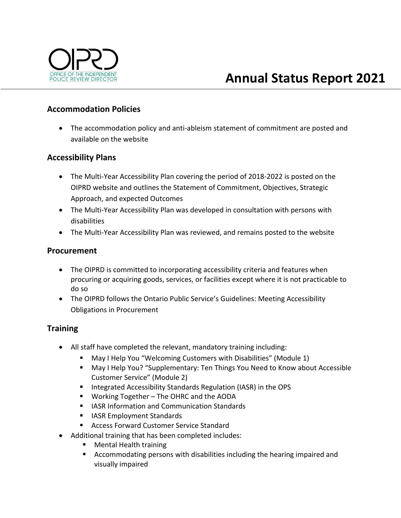

## **Accommodation Policies**

 The accommodation policy and anti‐ableism statement of commitment are posted and available on the website

### **Accessibility Plans**

- The Multi-Year Accessibility Plan covering the period of 2018-2022 is posted on the OIPRD website and outlines the Statement of Commitment, Objectives, Strategic Approach, and expected Outcomes
- The Multi‐Year Accessibility Plan was developed in consultation with persons with disabilities
- The Multi-Year Accessibility Plan was reviewed, and remains posted to the website

### **Procurement**

- The OIPRD is committed to incorporating accessibility criteria and features when procuring or acquiring goods, services, or facilities except where it is not practicable to do so
- The OIPRD follows the Ontario Public Service's Guidelines: Meeting Accessibility Obligations in Procurement

# **Training**

- All staff have completed the relevant, mandatory training including:
	- May I Help You "Welcoming Customers with Disabilities" (Module 1)
	- May I Help You? "Supplementary: Ten Things You Need to Know about Accessible Customer Service" (Module 2)
	- **Integrated Accessibility Standards Regulation (IASR) in the OPS**
	- Working Together The OHRC and the AODA
	- **IFILASR Information and Communication Standards**
	- **I** IASR Employment Standards
	- Access Forward Customer Service Standard
- Additional training that has been completed includes:
	- **Nental Health training**
	- Accommodating persons with disabilities including the hearing impaired and visually impaired